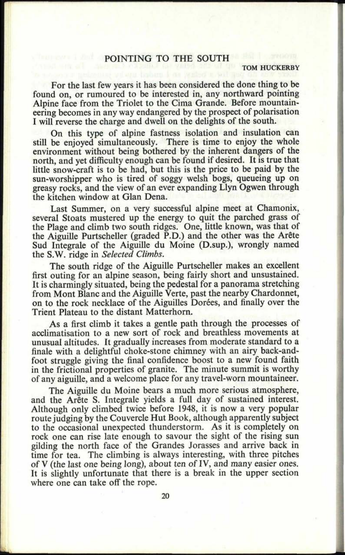## **h ' POINTING TO THE SOUTH**

## **TOM HUCKERBY**

For the last few years it has been considered the done thing to be found on, or rumoured to be interested in, any northward pointing Alpine face from the Triolet to the Cima Grande. Before mountaineering becomes in any way endangered by the prospect of polarisation <sup>I</sup>will reverse the charge and dwell on the delights of the south.

On this type of alpine fastness isolation and insulation can still be enjoyed simultaneously. There is time to enjoy the whole environment without being bothered by the inherent dangers of the north, and yet difficulty enough can be found if desired. It is true that little snow-craft is to be had, but this is the price to be paid by the sun-worshipper who is tired of soggy welsh bogs, queueing up on greasy rocks, and the view of an ever expanding Llyn Ogwen through the kitchen window at Glan Dena.

Last Summer, on a very successful alpine meet at Chamonix, several Stoats mustered up the energy to quit the parched grass of the Plage and climb two south ridges. One, little known, was that of the Aiguille Purtscheller (graded P.D.) and the other was the Arête Sud Integrate of the Aiguille du Moine (D.sup.), wrongly named the S.W. ridge in *Selected Climbs.*

The south ridge of the Aiguille Purtscheller makes an excellent first outing for an alpine season, being fairly short and unsustained. It is charmingly situated, being the pedestal for a panorama stretching from Mont Blanc and the Aiguille Verte, past the nearby Chardonnet, on to the rock necklace of the Aiguilles Dorees, and finally over the Trient Plateau to the distant Matterhorn.

As a first climb it takes a gentle path through the processes of acclimatisation to a new sort of rock and breathless movements at unusual altitudes. It gradually increases from moderate standard to <sup>a</sup> finale with a delightful choke-stone chimney with an airy back-andfoot struggle giving the final confidence boost to a new found faith in the frictional properties of granite. The minute summit is worthy of any aiguille, and a welcome place for any travel-worn mountaineer.

The Aiguille du Moine bears a much more serious atmosphere, and the Arête S. Integrale yields a full day of sustained interest. Although only climbed twice before 1948, it is now a very popular route judging by the Couvercle Hut Book, although apparently subject to the occasional unexpected thunderstorm. As it is completely on rock one can rise late enough to savour the sight of the rising sun <sup>g</sup>ilding the north face of the Grandes Jorasses and arrive back in time for tea. The climbing is always interesting, with three pitches of V (the last one being long), about ten of IV, and many easier ones. It is slightly unfortunate that there is a break in the upper section where one can take off the rope.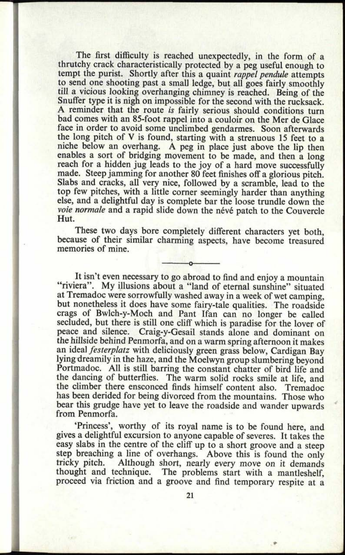The first difficulty is reached unexpectedly, in the form of <sup>a</sup> thrutchy crack characteristically protected by a peg useful enough to tempt the purist. Shortly after this <sup>a</sup>quaint *rappel pendule* attempts to send one shooting past a small ledge, but all goes fairly smoothly till a vicious looking overhanging chimney is reached. Being of the Snuffer type it is nigh on impossible for the second with the rucksack. <sup>A</sup>reminder that the route *is* fairly serious should conditions turn bad comes with an 85-foot rappel into a couloir on the Mer de Glace face in order to avoid some unclimbed gendarmes. Soon afterwards the long pitch of V is found, starting with a strenuous 15 feet to <sup>a</sup> niche below an overhang. A peg in place just above the lip then enables a sort of bridging movement to be made, and then a long reach for a hidden jug leads to the joy of a hard move successfully made. Steep jamming for another 80 feet finishes off a glorious pitch. Slabs and cracks, all very nice, followed by a scramble, lead to the top few pitches, with a little corner seemingly harder than anything else, and a delightful day is complete bar the loose trundle down the voie normale and a rapid slide down the névé patch to the Couvercle Hut.

**26. 0878**

These two days bore completely different characters yet both, because of their similar charming aspects, have become treasured memories of mine.

It isn't even necessary to go abroad to find and enjoy a mountain "riviera". My illusions about a "land of eternal sunshine" situated at Tremadoc were sorrowfully washed away in a week of wet camping, but nonetheless it does have some fairy-tale qualities. The roadside crags of Bwlch-y-Moch and Pant Ifan can no longer be called secluded, but there is still one cliff which is paradise for the lover of peace and silence. Craig-y-Gesail stands alone and dominant on the hillside behind Penmorfa, and on a warm spring afternoon it makes an ideal *festerplatz* with deliciously green grass below, Cardigan Bay lying dreamily in the haze, and the Moelwyn group slumbering beyond Portmadoc. All is still barring the constant chatter of bird life and the dancing of butterflies. The warm solid rocks smile at life, and the climber there ensconced finds himself content also. Tremadoc has been derided for being divorced from the mountains. Those who bear this grudge have yet to leave the roadside and wander upwards from Penmorfa.

'Princess', worthy of its royal name is to be found here, and <sup>g</sup>ives a delightful excursion to anyone capable of severes. It takes the easy slabs in the centre of the cliff up to a short groove and a steep step breaching a line of overhangs. Above this is found the only tricky pitch. Although short, nearly every move on it demands Although short, nearly every move on it demands thought and technique. The problems start with a mantleshelf, proceed via friction and <sup>a</sup>groove and find temporary respite at <sup>a</sup>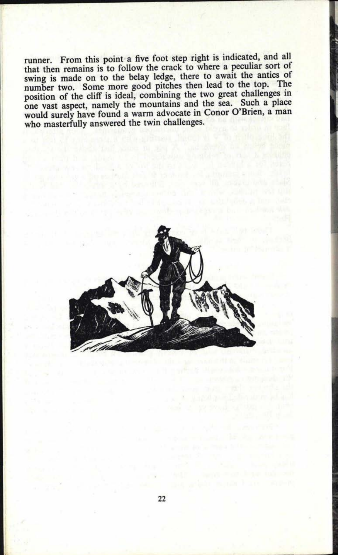runner. From this point a five foot step right is indicated, and all that then remains is to follow the crack to where a peculiar sort of swing is made on to the belay ledge, there to await the antics of number two. Some more good pitches then lead to the top. The position of the cliff is ideal, combining the two great challenges in one vast aspect, namely the mountains and the sea. Such a place would surely have found a warm advocate in Conor O'Brien, a man who masterfully answered the twin challenges.<br>
The twin challenges are the twin challenges.

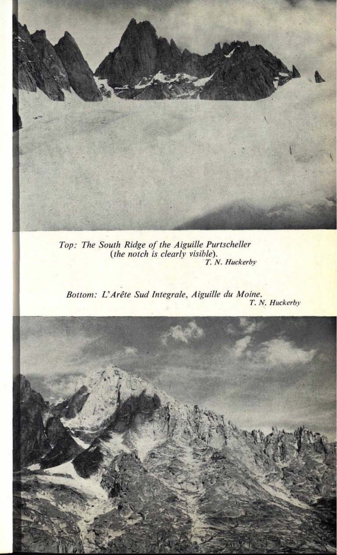

*Top: The South Ridge of the Aiguille Purtscheller (the notch is clearly visible). T. N. Huckerby*

*Bottom: L'Arete Sud Integrate, Aiguille du Maine. T. N. Huckerby*